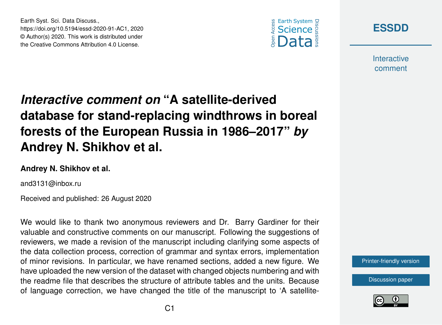



**Interactive** comment

# *Interactive comment on* **"A satellite-derived database for stand-replacing windthrows in boreal forests of the European Russia in 1986–2017"** *by* **Andrey N. Shikhov et al.**

#### **Andrey N. Shikhov et al.**

Earth Syst. Sci. Data Discuss.,

https://doi.org/10.5194/essd-2020-91-AC1, 2020 © Author(s) 2020. This work is distributed under the Creative Commons Attribution 4.0 License.

and3131@inbox.ru

Received and published: 26 August 2020

We would like to thank two anonymous reviewers and Dr. Barry Gardiner for their valuable and constructive comments on our manuscript. Following the suggestions of reviewers, we made a revision of the manuscript including clarifying some aspects of the data collection process, correction of grammar and syntax errors, implementation of minor revisions. In particular, we have renamed sections, added a new figure. We have uploaded the new version of the dataset with changed objects numbering and with the readme file that describes the structure of attribute tables and the units. Because of language correction, we have changed the title of the manuscript to 'A satellite-



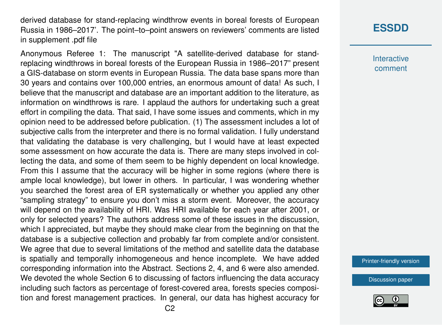derived database for stand-replacing windthrow events in boreal forests of European Russia in 1986–2017'. The point–to–point answers on reviewers' comments are listed in supplement .pdf file

Anonymous Referee 1: The manuscript "A satellite-derived database for standreplacing windthrows in boreal forests of the European Russia in 1986–2017" present a GIS-database on storm events in European Russia. The data base spans more than 30 years and contains over 100,000 entries, an enormous amount of data! As such, I believe that the manuscript and database are an important addition to the literature, as information on windthrows is rare. I applaud the authors for undertaking such a great effort in compiling the data. That said, I have some issues and comments, which in my opinion need to be addressed before publication. (1) The assessment includes a lot of subjective calls from the interpreter and there is no formal validation. I fully understand that validating the database is very challenging, but I would have at least expected some assessment on how accurate the data is. There are many steps involved in collecting the data, and some of them seem to be highly dependent on local knowledge. From this I assume that the accuracy will be higher in some regions (where there is ample local knowledge), but lower in others. In particular, I was wondering whether you searched the forest area of ER systematically or whether you applied any other "sampling strategy" to ensure you don't miss a storm event. Moreover, the accuracy will depend on the availability of HRI. Was HRI available for each year after 2001, or only for selected years? The authors address some of these issues in the discussion, which I appreciated, but maybe they should make clear from the beginning on that the database is a subjective collection and probably far from complete and/or consistent. We agree that due to several limitations of the method and satellite data the database is spatially and temporally inhomogeneous and hence incomplete. We have added corresponding information into the Abstract. Sections 2, 4, and 6 were also amended. We devoted the whole Section 6 to discussing of factors influencing the data accuracy including such factors as percentage of forest-covered area, forests species composition and forest management practices. In general, our data has highest accuracy for

## **[ESSDD](https://essd.copernicus.org/preprints/)**

**Interactive** comment

[Printer-friendly version](https://essd.copernicus.org/preprints/essd-2020-91/essd-2020-91-AC1-print.pdf)

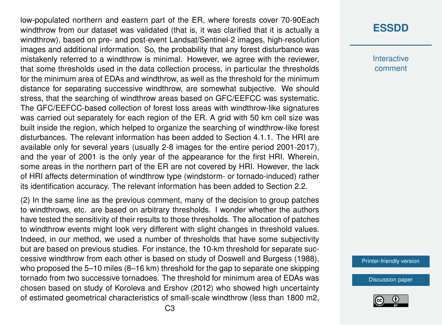low-populated northern and eastern part of the ER, where forests cover 70-90Each windthrow from our dataset was validated (that is, it was clarified that it is actually a windthrow), based on pre- and post-event Landsat/Sentinel-2 images, high-resolution images and additional information. So, the probability that any forest disturbance was mistakenly referred to a windthrow is minimal. However, we agree with the reviewer, that some thresholds used in the data collection process, in particular the thresholds for the minimum area of EDAs and windthrow, as well as the threshold for the minimum distance for separating successive windthrow, are somewhat subjective. We should stress, that the searching of windthrow areas based on GFC/EEFCC was systematic. The GFC/EEFCC-based collection of forest loss areas with windthrow-like signatures was carried out separately for each region of the ER. A grid with 50 km cell size was built inside the region, which helped to organize the searching of windthrow-like forest disturbances. The relevant information has been added to Section 4.1.1. The HRI are available only for several years (usually 2-8 images for the entire period 2001-2017), and the year of 2001 is the only year of the appearance for the first HRI. Wherein, some areas in the northern part of the ER are not covered by HRI. However, the lack of HRI affects determination of windthrow type (windstorm- or tornado-induced) rather its identification accuracy. The relevant information has been added to Section 2.2.

(2) In the same line as the previous comment, many of the decision to group patches to windthrows, etc. are based on arbitrary thresholds. I wonder whether the authors have tested the sensitivity of their results to those thresholds. The allocation of patches to windthrow events might look very different with slight changes in threshold values. Indeed, in our method, we used a number of thresholds that have some subjectivity but are based on previous studies. For instance, the 10-km threshold for separate successive windthrow from each other is based on study of Doswell and Burgess (1988), who proposed the 5–10 miles (8–16 km) threshold for the gap to separate one skipping tornado from two successive tornadoes. The threshold for minimum area of EDAs was chosen based on study of Koroleva and Ershov (2012) who showed high uncertainty of estimated geometrical characteristics of small-scale windthrow (less than 1800 m2,

## **[ESSDD](https://essd.copernicus.org/preprints/)**

**Interactive** comment

[Printer-friendly version](https://essd.copernicus.org/preprints/essd-2020-91/essd-2020-91-AC1-print.pdf)

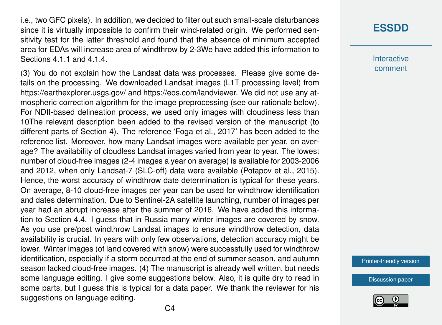i.e., two GFC pixels). In addition, we decided to filter out such small-scale disturbances since it is virtually impossible to confirm their wind-related origin. We performed sensitivity test for the latter threshold and found that the absence of minimum accepted area for EDAs will increase area of windthrow by 2-3We have added this information to Sections 4.1.1 and 4.1.4.

(3) You do not explain how the Landsat data was processes. Please give some details on the processing. We downloaded Landsat images (L1T processing level) from https://earthexplorer.usgs.gov/ and https://eos.com/landviewer. We did not use any atmospheric correction algorithm for the image preprocessing (see our rationale below). For NDII-based delineation process, we used only images with cloudiness less than 10The relevant description been added to the revised version of the manuscript (to different parts of Section 4). The reference 'Foga et al., 2017' has been added to the reference list. Moreover, how many Landsat images were available per year, on average? The availability of cloudless Landsat images varied from year to year. The lowest number of cloud-free images (2-4 images a year on average) is available for 2003-2006 and 2012, when only Landsat-7 (SLC-off) data were available (Potapov et al., 2015). Hence, the worst accuracy of windthrow date determination is typical for these years. On average, 8-10 cloud-free images per year can be used for windthrow identification and dates determination. Due to Sentinel-2A satellite launching, number of images per year had an abrupt increase after the summer of 2016. We have added this information to Section 4.4. I guess that in Russia many winter images are covered by snow. As you use pre/post windthrow Landsat images to ensure windthrow detection, data availability is crucial. In years with only few observations, detection accuracy might be lower. Winter images (of land covered with snow) were successfully used for windthrow identification, especially if a storm occurred at the end of summer season, and autumn season lacked cloud-free images. (4) The manuscript is already well written, but needs some language editing. I give some suggestions below. Also, it is quite dry to read in some parts, but I guess this is typical for a data paper. We thank the reviewer for his suggestions on language editing.

## **[ESSDD](https://essd.copernicus.org/preprints/)**

**Interactive** comment

[Printer-friendly version](https://essd.copernicus.org/preprints/essd-2020-91/essd-2020-91-AC1-print.pdf)

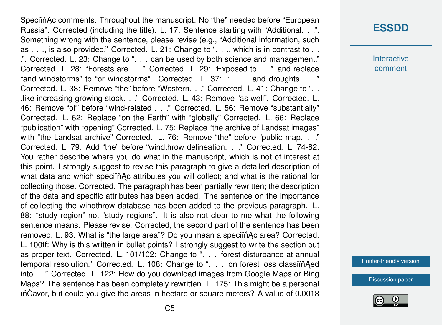Speciin Ac comments: Throughout the manuscript: No "the" needed before "European Russia". Corrected (including the title). L. 17: Sentence starting with "Additional. . .": Something wrong with the sentence, please revise (e.g., "Additional information, such as . . ., is also provided." Corrected. L. 21: Change to ". . ., which is in contrast to . . .". Corrected. L. 23: Change to ". . . can be used by both science and management." Corrected. L. 28: "Forests are. . ." Corrected. L. 29: "Exposed to. . ." and replace "and windstorms" to "or windstorms". Corrected. L. 37: ". . ., and droughts. . ." Corrected. L. 38: Remove "the" before "Western. . ." Corrected. L. 41: Change to ". . .like increasing growing stock. . ." Corrected. L. 43: Remove "as well". Corrected. L. 46: Remove "of" before "wind-related . . ." Corrected. L. 56: Remove "substantially" Corrected. L. 62: Replace "on the Earth" with "globally" Corrected. L. 66: Replace "publication" with "opening" Corrected. L. 75: Replace "the archive of Landsat images" with "the Landsat archive" Corrected. L. 76: Remove "the" before "public map. . ." Corrected. L. 79: Add "the" before "windthrow delineation. . ." Corrected. L. 74-82: You rather describe where you do what in the manuscript, which is not of interest at this point. I strongly suggest to revise this paragraph to give a detailed description of what data and which speciin Ac attributes you will collect; and what is the rational for collecting those. Corrected. The paragraph has been partially rewritten; the description of the data and specific attributes has been added. The sentence on the importance of collecting the windthrow database has been added to the previous paragraph. L. 88: "study region" not "study regions". It is also not clear to me what the following sentence means. Please revise. Corrected, the second part of the sentence has been removed. L. 93: What is "the large area"? Do you mean a speciin Ac area? Corrected. L. 100ff: Why is this written in bullet points? I strongly suggest to write the section out as proper text. Corrected. L. 101/102: Change to ". . . forest disturbance at annual temporal resolution." Corrected. L. 108: Change to ". . . on forest loss classiïn Aed into. . ." Corrected. L. 122: How do you download images from Google Maps or Bing Maps? The sentence has been completely rewritten. L. 175: This might be a personal  $i\hat{\text{C}}$  in $\hat{\text{C}}$  could you give the areas in hectare or square meters? A value of 0.0018

## **[ESSDD](https://essd.copernicus.org/preprints/)**

**Interactive** comment

[Printer-friendly version](https://essd.copernicus.org/preprints/essd-2020-91/essd-2020-91-AC1-print.pdf)

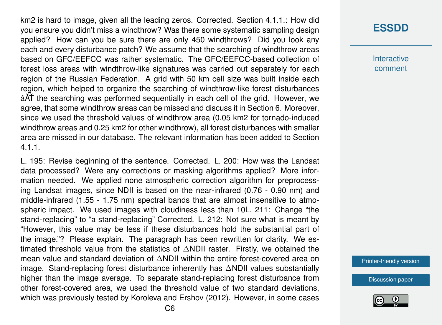km2 is hard to image, given all the leading zeros. Corrected. Section 4.1.1.: How did you ensure you didn't miss a windthrow? Was there some systematic sampling design applied? How can you be sure there are only 450 windthrows? Did you look any each and every disturbance patch? We assume that the searching of windthrow areas based on GFC/EEFCC was rather systematic. The GFC/EEFCC-based collection of forest loss areas with windthrow-like signatures was carried out separately for each region of the Russian Federation. A grid with 50 km cell size was built inside each region, which helped to organize the searching of windthrow-like forest disturbances  $\hat{A}$  $\hat{A}$  $\hat{A}$  the searching was performed sequentially in each cell of the grid. However, we agree, that some windthrow areas can be missed and discuss it in Section 6. Moreover, since we used the threshold values of windthrow area (0.05 km2 for tornado-induced windthrow areas and 0.25 km2 for other windthrow), all forest disturbances with smaller area are missed in our database. The relevant information has been added to Section 4.1.1.

L. 195: Revise beginning of the sentence. Corrected. L. 200: How was the Landsat data processed? Were any corrections or masking algorithms applied? More information needed. We applied none atmospheric correction algorithm for preprocessing Landsat images, since NDII is based on the near-infrared (0.76 - 0.90 nm) and middle-infrared (1.55 - 1.75 nm) spectral bands that are almost insensitive to atmospheric impact. We used images with cloudiness less than 10L. 211: Change "the stand-replacing" to "a stand-replacing" Corrected. L. 212: Not sure what is meant by "However, this value may be less if these disturbances hold the substantial part of the image."? Please explain. The paragraph has been rewritten for clarity. We estimated threshold value from the statistics of ∆NDII raster. Firstly, we obtained the mean value and standard deviation of ∆NDII within the entire forest-covered area on image. Stand-replacing forest disturbance inherently has ∆NDII values substantially higher than the image average. To separate stand-replacing forest disturbance from other forest-covered area, we used the threshold value of two standard deviations, which was previously tested by Koroleva and Ershov (2012). However, in some cases

#### **[ESSDD](https://essd.copernicus.org/preprints/)**

**Interactive** comment

[Printer-friendly version](https://essd.copernicus.org/preprints/essd-2020-91/essd-2020-91-AC1-print.pdf)

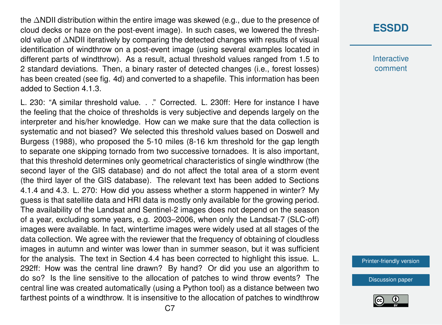the ∆NDII distribution within the entire image was skewed (e.g., due to the presence of cloud decks or haze on the post-event image). In such cases, we lowered the threshold value of ∆NDII iteratively by comparing the detected changes with results of visual identification of windthrow on a post-event image (using several examples located in different parts of windthrow). As a result, actual threshold values ranged from 1.5 to 2 standard deviations. Then, a binary raster of detected changes (i.e., forest losses) has been created (see fig. 4d) and converted to a shapefile. This information has been added to Section 4.1.3.

L. 230: "A similar threshold value. . ." Corrected. L. 230ff: Here for instance I have the feeling that the choice of thresholds is very subjective and depends largely on the interpreter and his/her knowledge. How can we make sure that the data collection is systematic and not biased? We selected this threshold values based on Doswell and Burgess (1988), who proposed the 5-10 miles (8-16 km threshold for the gap length to separate one skipping tornado from two successive tornadoes. It is also important, that this threshold determines only geometrical characteristics of single windthrow (the second layer of the GIS database) and do not affect the total area of a storm event (the third layer of the GIS database). The relevant text has been added to Sections 4.1.4 and 4.3. L. 270: How did you assess whether a storm happened in winter? My guess is that satellite data and HRI data is mostly only available for the growing period. The availability of the Landsat and Sentinel-2 images does not depend on the season of a year, excluding some years, e.g. 2003–2006, when only the Landsat-7 (SLC-off) images were available. In fact, wintertime images were widely used at all stages of the data collection. We agree with the reviewer that the frequency of obtaining of cloudless images in autumn and winter was lower than in summer season, but it was sufficient for the analysis. The text in Section 4.4 has been corrected to highlight this issue. L. 292ff: How was the central line drawn? By hand? Or did you use an algorithm to do so? Is the line sensitive to the allocation of patches to wind throw events? The central line was created automatically (using a Python tool) as a distance between two farthest points of a windthrow. It is insensitive to the allocation of patches to windthrow

## **[ESSDD](https://essd.copernicus.org/preprints/)**

**Interactive** comment

[Printer-friendly version](https://essd.copernicus.org/preprints/essd-2020-91/essd-2020-91-AC1-print.pdf)

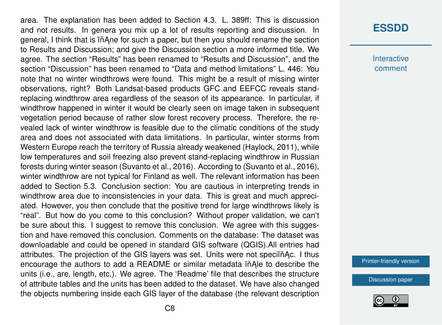area. The explanation has been added to Section 4.3. L. 389ff: This is discussion and not results. In genera you mix up a lot of results reporting and discussion. In general, I think that is in Ane for such a paper, but then you should rename the section to Results and Discussion; and give the Discussion section a more informed title. We agree. The section "Results" has been renamed to "Results and Discussion", and the section "Discussion" has been renamed to "Data and method limitations" L. 446: You note that no winter windthrows were found. This might be a result of missing winter observations, right? Both Landsat-based products GFC and EEFCC reveals standreplacing windthrow area regardless of the season of its appearance. In particular, if windthrow happened in winter it would be clearly seen on image taken in subsequent vegetation period because of rather slow forest recovery process. Therefore, the revealed lack of winter windthrow is feasible due to the climatic conditions of the study area and does not associated with data limitations. In particular, winter storms from Western Europe reach the territory of Russia already weakened (Haylock, 2011), while low temperatures and soil freezing also prevent stand-replacing windthrow in Russian forests during winter season (Suvanto et al., 2016). According to (Suvanto et al., 2016), winter windthrow are not typical for Finland as well. The relevant information has been added to Section 5.3. Conclusion section: You are cautious in interpreting trends in windthrow area due to inconsistencies in your data. This is great and much appreciated. However, you then conclude that the positive trend for large windthrows likely is "real". But how do you come to this conclusion? Without proper validation, we can't be sure about this. I suggest to remove this conclusion. We agree with this suggestion and have removed this conclusion. Comments on the database: The dataset was downloadable and could be opened in standard GIS software (QGIS).All entries had attributes. The projection of the GIS layers was set. Units were not speciing Ac. I thus encourage the authors to add a README or similar metadata in Ale to describe the units (i.e., are, length, etc.). We agree. The 'Readme' file that describes the structure of attribute tables and the units has been added to the dataset. We have also changed the objects numbering inside each GIS layer of the database (the relevant description

#### **[ESSDD](https://essd.copernicus.org/preprints/)**

**Interactive** comment

[Printer-friendly version](https://essd.copernicus.org/preprints/essd-2020-91/essd-2020-91-AC1-print.pdf)

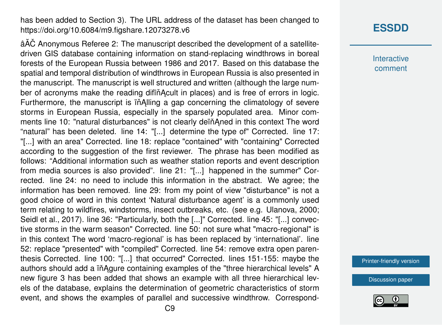has been added to Section 3). The URL address of the dataset has been changed to https://doi.org/10.6084/m9.figshare.12073278.v6

âA˘C Anonymous Referee 2: The manuscript described the development of a satellite- ˇ driven GIS database containing information on stand-replacing windthrows in boreal forests of the European Russia between 1986 and 2017. Based on this database the spatial and temporal distribution of windthrows in European Russia is also presented in the manuscript. The manuscript is well structured and written (although the large number of acronyms make the reading diffinacult in places) and is free of errors in logic. Furthermore, the manuscript is in Alling a gap concerning the climatology of severe storms in European Russia, especially in the sparsely populated area. Minor comments line 10: "natural disturbances" is not clearly deïňAned in this context The word "natural" has been deleted. line 14: "[...] determine the type of" Corrected. line 17: "[...] with an area" Corrected. line 18: replace "contained" with "containing" Corrected according to the suggestion of the first reviewer. The phrase has been modified as follows: "Additional information such as weather station reports and event description from media sources is also provided". line 21: "[...] happened in the summer" Corrected. line 24: no need to include this information in the abstract. We agree; the information has been removed. line 29: from my point of view "disturbance" is not a good choice of word in this context 'Natural disturbance agent' is a commonly used term relating to wildfires, windstorms, insect outbreaks, etc. (see e.g. Ulanova, 2000; Seidl et al., 2017). line 36: "Particularly, both the [...]" Corrected. line 45: "[...] convective storms in the warm season" Corrected. line 50: not sure what "macro-regional" is in this context The word 'macro-regional' is has been replaced by 'international'. line 52: replace "presented" with "compiled" Corrected. line 54: remove extra open parenthesis Corrected. line 100: "[...] that occurred" Corrected. lines 151-155: maybe the authors should add a in Agure containing examples of the "three hierarchical levels" A new figure 3 has been added that shows an example with all three hierarchical levels of the database, explains the determination of geometric characteristics of storm event, and shows the examples of parallel and successive windthrow. Correspond-

## **[ESSDD](https://essd.copernicus.org/preprints/)**

**Interactive** comment

[Printer-friendly version](https://essd.copernicus.org/preprints/essd-2020-91/essd-2020-91-AC1-print.pdf)

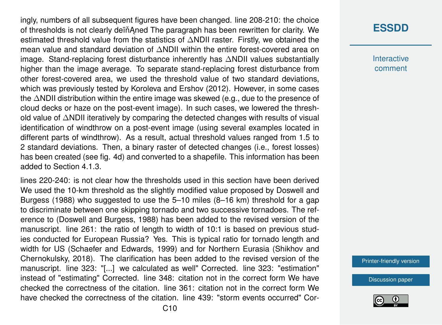ingly, numbers of all subsequent figures have been changed. line 208-210: the choice of thresholds is not clearly dein Aned The paragraph has been rewritten for clarity. We estimated threshold value from the statistics of ∆NDII raster. Firstly, we obtained the mean value and standard deviation of ∆NDII within the entire forest-covered area on image. Stand-replacing forest disturbance inherently has ∆NDII values substantially higher than the image average. To separate stand-replacing forest disturbance from other forest-covered area, we used the threshold value of two standard deviations, which was previously tested by Koroleva and Ershov (2012). However, in some cases the ∆NDII distribution within the entire image was skewed (e.g., due to the presence of cloud decks or haze on the post-event image). In such cases, we lowered the threshold value of ∆NDII iteratively by comparing the detected changes with results of visual identification of windthrow on a post-event image (using several examples located in different parts of windthrow). As a result, actual threshold values ranged from 1.5 to 2 standard deviations. Then, a binary raster of detected changes (i.e., forest losses) has been created (see fig. 4d) and converted to a shapefile. This information has been added to Section 4.1.3.

lines 220-240: is not clear how the thresholds used in this section have been derived We used the 10-km threshold as the slightly modified value proposed by Doswell and Burgess (1988) who suggested to use the 5–10 miles (8–16 km) threshold for a gap to discriminate between one skipping tornado and two successive tornadoes. The reference to (Doswell and Burgess, 1988) has been added to the revised version of the manuscript. line 261: the ratio of length to width of 10:1 is based on previous studies conducted for European Russia? Yes. This is typical ratio for tornado length and width for US (Schaefer and Edwards, 1999) and for Northern Eurasia (Shikhov and Chernokulsky, 2018). The clarification has been added to the revised version of the manuscript. line 323: "[...] we calculated as well" Corrected. line 323: "estimation" instead of "estimating" Corrected. line 348: citation not in the correct form We have checked the correctness of the citation. line 361: citation not in the correct form We have checked the correctness of the citation. line 439: "storm events occurred" Cor-

## **[ESSDD](https://essd.copernicus.org/preprints/)**

**Interactive** comment

[Printer-friendly version](https://essd.copernicus.org/preprints/essd-2020-91/essd-2020-91-AC1-print.pdf)

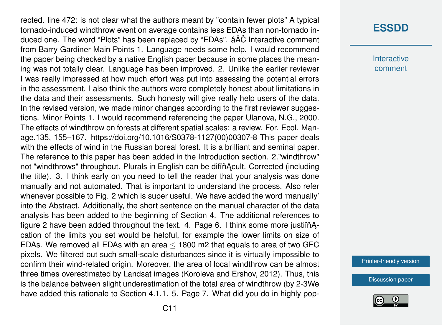rected. line 472: is not clear what the authors meant by "contain fewer plots" A typical tornado-induced windthrow event on average contains less EDAs than non-tornado induced one. The word "Plots" has been replaced by "EDAs".  $\hat{a} \check{A} \check{C}$  Interactive comment from Barry Gardiner Main Points 1. Language needs some help. I would recommend the paper being checked by a native English paper because in some places the meaning was not totally clear. Language has been improved. 2. Unlike the earlier reviewer I was really impressed at how much effort was put into assessing the potential errors in the assessment. I also think the authors were completely honest about limitations in the data and their assessments. Such honesty will give really help users of the data. In the revised version, we made minor changes according to the first reviewer suggestions. Minor Points 1. I would recommend referencing the paper Ulanova, N.G., 2000. The effects of windthrow on forests at different spatial scales: a review. For. Ecol. Manage.135, 155–167. https://doi.org/10.1016/S0378-1127(00)00307-8 This paper deals with the effects of wind in the Russian boreal forest. It is a brilliant and seminal paper. The reference to this paper has been added in the Introduction section. 2."windthrow" not "windthrows" throughout. Plurals in English can be difind oult. Corrected (including the title). 3. I think early on you need to tell the reader that your analysis was done manually and not automated. That is important to understand the process. Also refer whenever possible to Fig. 2 which is super useful. We have added the word 'manually' into the Abstract. Additionally, the short sentence on the manual character of the data analysis has been added to the beginning of Section 4. The additional references to figure 2 have been added throughout the text. 4. Page 6. I think some more justif  $A$ cation of the limits you set would be helpful, for example the lower limits on size of EDAs. We removed all EDAs with an area ≤ 1800 m2 that equals to area of two GFC pixels. We filtered out such small-scale disturbances since it is virtually impossible to confirm their wind-related origin. Moreover, the area of local windthrow can be almost three times overestimated by Landsat images (Koroleva and Ershov, 2012). Thus, this is the balance between slight underestimation of the total area of windthrow (by 2-3We have added this rationale to Section 4.1.1. 5. Page 7. What did you do in highly pop-

## **[ESSDD](https://essd.copernicus.org/preprints/)**

**Interactive** comment

[Printer-friendly version](https://essd.copernicus.org/preprints/essd-2020-91/essd-2020-91-AC1-print.pdf)

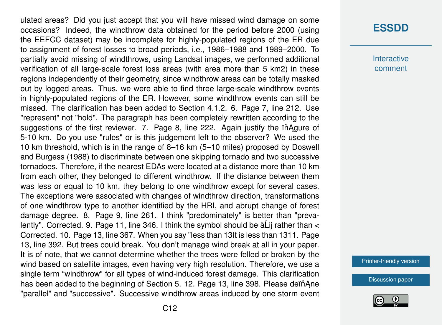ulated areas? Did you just accept that you will have missed wind damage on some occasions? Indeed, the windthrow data obtained for the period before 2000 (using the EEFCC dataset) may be incomplete for highly-populated regions of the ER due to assignment of forest losses to broad periods, i.e., 1986–1988 and 1989–2000. To partially avoid missing of windthrows, using Landsat images, we performed additional verification of all large-scale forest loss areas (with area more than 5 km2) in these regions independently of their geometry, since windthrow areas can be totally masked out by logged areas. Thus, we were able to find three large-scale windthrow events in highly-populated regions of the ER. However, some windthrow events can still be missed. The clarification has been added to Section 4.1.2. 6. Page 7, line 212. Use "represent" not "hold". The paragraph has been completely rewritten according to the suggestions of the first reviewer. 7. Page 8, line 222. Again justify the in Agure of 5-10 km. Do you use "rules" or is this judgement left to the observer? We used the 10 km threshold, which is in the range of 8–16 km (5–10 miles) proposed by Doswell and Burgess (1988) to discriminate between one skipping tornado and two successive tornadoes. Therefore, if the nearest EDAs were located at a distance more than 10 km from each other, they belonged to different windthrow. If the distance between them was less or equal to 10 km, they belong to one windthrow except for several cases. The exceptions were associated with changes of windthrow direction, transformations of one windthrow type to another identified by the HRI, and abrupt change of forest damage degree. 8. Page 9, line 261. I think "predominately" is better than "prevalently". Corrected. 9. Page 11, line 346. I think the symbol should be  $\hat{a}$ Lij rather than  $\lt$ Corrected. 10. Page 13, line 367. When you say "less than 13It is less than 1311. Page 13, line 392. But trees could break. You don't manage wind break at all in your paper. It is of note, that we cannot determine whether the trees were felled or broken by the wind based on satellite images, even having very high resolution. Therefore, we use a single term "windthrow" for all types of wind-induced forest damage. This clarification has been added to the beginning of Section 5. 12. Page 13, line 398. Please dein Ane "parallel" and "successive". Successive windthrow areas induced by one storm event

#### **[ESSDD](https://essd.copernicus.org/preprints/)**

**Interactive** comment

[Printer-friendly version](https://essd.copernicus.org/preprints/essd-2020-91/essd-2020-91-AC1-print.pdf)

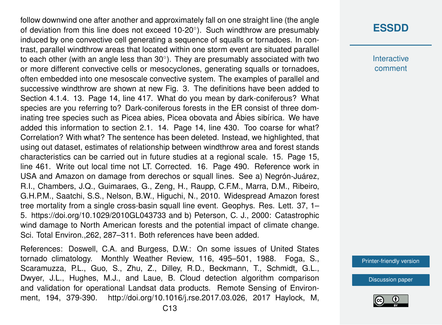follow downwind one after another and approximately fall on one straight line (the angle of deviation from this line does not exceed 10-20 $^{\circ}$ ). Such windthrow are presumably induced by one convective cell generating a sequence of squalls or tornadoes. In contrast, parallel windthrow areas that located within one storm event are situated parallel to each other (with an angle less than 30 $^{\circ}$ ). They are presumably associated with two or more different convective cells or mesocyclones, generating squalls or tornadoes, often embedded into one mesoscale convective system. The examples of parallel and successive windthrow are shown at new Fig. 3. The definitions have been added to Section 4.1.4. 13. Page 14, line 417. What do you mean by dark-coniferous? What species are you referring to? Dark-coniferous forests in the ER consist of three dominating tree species such as Picea abies, Picea obovata and Ábies sibírica. We have added this information to section 2.1. 14. Page 14, line 430. Too coarse for what? Correlation? With what? The sentence has been deleted. Instead, we highlighted, that using out dataset, estimates of relationship between windthrow area and forest stands characteristics can be carried out in future studies at a regional scale. 15. Page 15, line 461. Write out local time not LT. Corrected. 16. Page 490. Reference work in USA and Amazon on damage from derechos or squall lines. See a) Negrón-Juárez, R.I., Chambers, J.Q., Guimaraes, G., Zeng, H., Raupp, C.F.M., Marra, D.M., Ribeiro, G.H.P.M., Saatchi, S.S., Nelson, B.W., Higuchi, N., 2010. Widespread Amazon forest tree mortality from a single cross-basin squall line event. Geophys. Res. Lett. 37, 1– 5. https://doi.org/10.1029/2010GL043733 and b) Peterson, C. J., 2000: Catastrophic wind damage to North American forests and the potential impact of climate change. Sci. Total Environ.,262, 287–311. Both references have been added.

References: Doswell, C.A. and Burgess, D.W.: On some issues of United States tornado climatology. Monthly Weather Review, 116, 495–501, 1988. Foga, S., Scaramuzza, P.L., Guo, S., Zhu, Z., Dilley, R.D., Beckmann, T., Schmidt, G.L., Dwyer, J.L., Hughes, M.J., and Laue, B. Cloud detection algorithm comparison and validation for operational Landsat data products. Remote Sensing of Environment, 194, 379-390. http://doi.org/10.1016/j.rse.2017.03.026, 2017 Haylock, M,

# **[ESSDD](https://essd.copernicus.org/preprints/)**

**Interactive** comment

[Printer-friendly version](https://essd.copernicus.org/preprints/essd-2020-91/essd-2020-91-AC1-print.pdf)

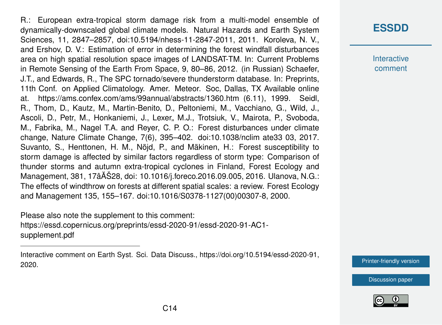R.: European extra-tropical storm damage risk from a multi-model ensemble of dynamically-downscaled global climate models. Natural Hazards and Earth System Sciences, 11, 2847–2857, doi:10.5194/nhess-11-2847-2011, 2011. Koroleva, N. V., and Ershov, D. V.: Estimation of error in determining the forest windfall disturbances area on high spatial resolution space images of LANDSAT-TM. In: Current Problems in Remote Sensing of the Earth From Space, 9, 80–86, 2012. (in Russian) Schaefer, J.T., and Edwards, R., The SPC tornado/severe thunderstorm database. In: Preprints, 11th Conf. on Applied Climatology. Amer. Meteor. Soc, Dallas, TX Available online at. https://ams.confex.com/ams/99annual/abstracts/1360.htm (6.11), 1999. Seidl, R., Thom, D., Kautz, M., Martin-Benito, D., Peltoniemi, M., Vacchiano, G., Wild, J., Ascoli, D., Petr, M., Honkaniemi, J., Lexer, M.J., Trotsiuk, V., Mairota, P., Svoboda, M., Fabrika, M., Nagel T.A. and Reyer, C. P. O.: Forest disturbances under climate change, Nature Climate Change, 7(6), 395–402. doi:10.1038/nclim ate33 03, 2017. Suvanto, S., Henttonen, H. M., Nöjd, P., and Mäkinen, H.: Forest susceptibility to storm damage is affected by similar factors regardless of storm type: Comparison of thunder storms and autumn extra-tropical cyclones in Finland, Forest Ecology and Management, 381, 17âAŠ28, doi: 10.1016/j.foreco.2016.09.005, 2016. Ulanova, N.G.: ˘ The effects of windthrow on forests at different spatial scales: a review. Forest Ecology and Management 135, 155–167. doi:10.1016/S0378-1127(00)00307-8, 2000.

Please also note the supplement to this comment: [https://essd.copernicus.org/preprints/essd-2020-91/essd-2020-91-AC1](https://essd.copernicus.org/preprints/essd-2020-91/essd-2020-91-AC1-supplement.pdf) [supplement.pdf](https://essd.copernicus.org/preprints/essd-2020-91/essd-2020-91-AC1-supplement.pdf)

# **[ESSDD](https://essd.copernicus.org/preprints/)**

**Interactive** comment

[Printer-friendly version](https://essd.copernicus.org/preprints/essd-2020-91/essd-2020-91-AC1-print.pdf)





Interactive comment on Earth Syst. Sci. Data Discuss., https://doi.org/10.5194/essd-2020-91, 2020.